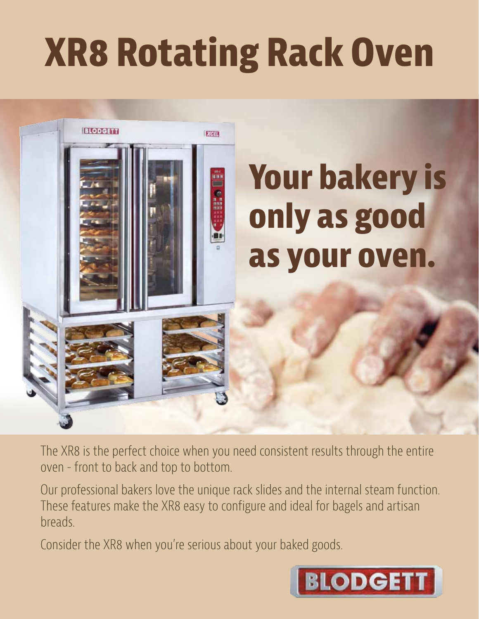## **XR8 Rotating Rack Oven**



The XR8 is the perfect choice when you need consistent results through the entire oven - front to back and top to bottom.

Our professional bakers love the unique rack slides and the internal steam function. These features make the XR8 easy to configure and ideal for bagels and artisan breads.

Consider the XR8 when you're serious about your baked goods.